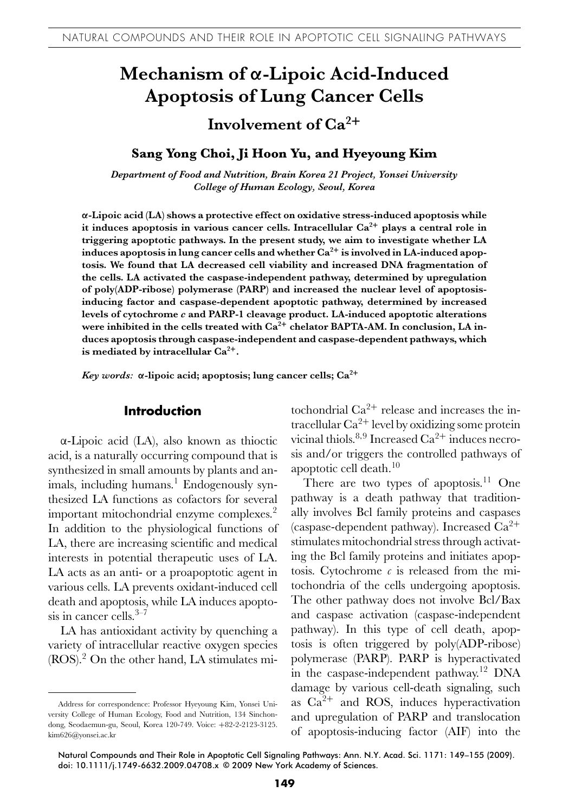# **Mechanism of α-Lipoic Acid-Induced Apoptosis of Lung Cancer Cells**

# **Involvement of Ca<sup>2</sup><sup>+</sup>**

### **Sang Yong Choi, Ji Hoon Yu, and Hyeyoung Kim**

*Department of Food and Nutrition, Brain Korea 21 Project, Yonsei University College of Human Ecology, Seoul, Korea*

**α-Lipoic acid (LA) shows a protective effect on oxidative stress-induced apoptosis while it induces apoptosis in various cancer cells. Intracellular Ca2<sup>+</sup> plays a central role in triggering apoptotic pathways. In the present study, we aim to investigate whether LA induces apoptosis in lung cancer cells and whether Ca2<sup>+</sup> is involved in LA-induced apoptosis. We found that LA decreased cell viability and increased DNA fragmentation of the cells. LA activated the caspase-independent pathway, determined by upregulation of poly(ADP-ribose) polymerase (PARP) and increased the nuclear level of apoptosisinducing factor and caspase-dependent apoptotic pathway, determined by increased levels of cytochrome** *c* **and PARP-1 cleavage product. LA-induced apoptotic alterations were inhibited in the cells treated with Ca<sup>2</sup><sup>+</sup> chelator BAPTA-AM. In conclusion, LA induces apoptosis through caspase-independent and caspase-dependent pathways, which is mediated by intracellular Ca2+.**

*Key words:* **α-lipoic acid; apoptosis; lung cancer cells; Ca2<sup>+</sup>**

# **Introduction**

α-Lipoic acid (LA), also known as thioctic acid, is a naturally occurring compound that is synthesized in small amounts by plants and animals, including humans.<sup>1</sup> Endogenously synthesized LA functions as cofactors for several important mitochondrial enzyme complexes.<sup>2</sup> In addition to the physiological functions of LA, there are increasing scientific and medical interests in potential therapeutic uses of LA. LA acts as an anti- or a proapoptotic agent in various cells. LA prevents oxidant-induced cell death and apoptosis, while LA induces apoptosis in cancer cells. $3-7$ 

LA has antioxidant activity by quenching a variety of intracellular reactive oxygen species (ROS).<sup>2</sup> On the other hand, LA stimulates mitochondrial  $Ca^{2+}$  release and increases the intracellular  $Ca^{2+}$  level by oxidizing some protein vicinal thiols.<sup>8,9</sup> Increased Ca<sup>2+</sup> induces necrosis and/or triggers the controlled pathways of apoptotic cell death. $10$ 

There are two types of apoptosis.<sup>11</sup> One pathway is a death pathway that traditionally involves Bcl family proteins and caspases (caspase-dependent pathway). Increased  $Ca^{2+}$ stimulates mitochondrial stress through activating the Bcl family proteins and initiates apoptosis. Cytochrome  $c$  is released from the mitochondria of the cells undergoing apoptosis. The other pathway does not involve Bcl/Bax and caspase activation (caspase-independent pathway). In this type of cell death, apoptosis is often triggered by poly(ADP-ribose) polymerase (PARP). PARP is hyperactivated in the caspase-independent pathway.<sup>12</sup> DNA damage by various cell-death signaling, such as  $Ca^{2+}$  and ROS, induces hyperactivation and upregulation of PARP and translocation of apoptosis-inducing factor (AIF) into the

Address for correspondence: Professor Hyeyoung Kim, Yonsei University College of Human Ecology, Food and Nutrition, 134 Sinchondong, Seodaemun-gu, Seoul, Korea 120-749. Voice: +82-2-2123-3125. kim626@yonsei.ac.kr

Natural Compounds and Their Role in Apoptotic Cell Signaling Pathways: Ann. N.Y. Acad. Sci. 1171: 149–155 (2009). doi: 10.1111/j.1749-6632.2009.04708.x **-**c 2009 New York Academy of Sciences.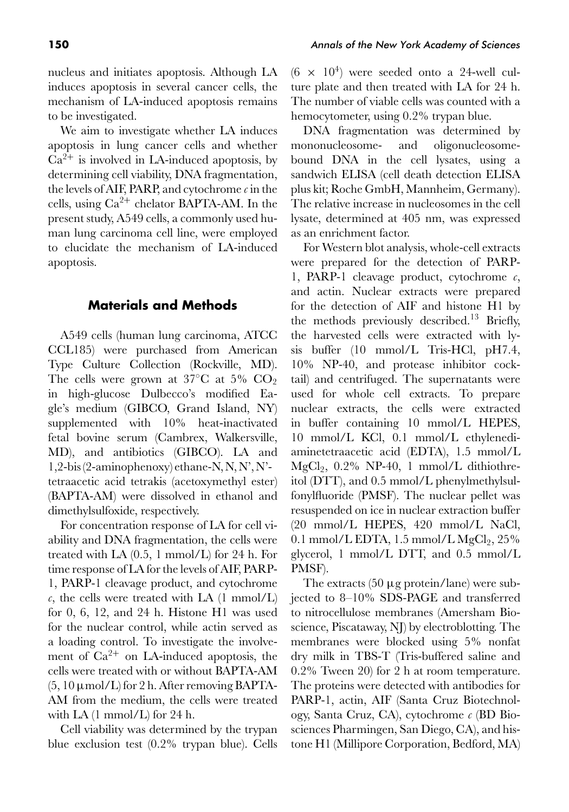We aim to investigate whether LA induces apoptosis in lung cancer cells and whether  $Ca^{2+}$  is involved in LA-induced apoptosis, by determining cell viability, DNA fragmentation, the levels of AIF, PARP, and cytochrome *c* in the cells, using  $Ca^{2+}$  chelator BAPTA-AM. In the present study, A549 cells, a commonly used human lung carcinoma cell line, were employed to elucidate the mechanism of LA-induced apoptosis.

# **Materials and Methods**

A549 cells (human lung carcinoma, ATCC CCL185) were purchased from American Type Culture Collection (Rockville, MD). The cells were grown at 37 $\degree$ C at 5% CO<sub>2</sub> in high-glucose Dulbecco's modified Eagle's medium (GIBCO, Grand Island, NY) supplemented with 10% heat-inactivated fetal bovine serum (Cambrex, Walkersville, MD), and antibiotics (GIBCO). LA and 1,2-bis (2-aminophenoxy) ethane-N, N, N', N' tetraacetic acid tetrakis (acetoxymethyl ester) (BAPTA-AM) were dissolved in ethanol and dimethylsulfoxide, respectively.

For concentration response of LA for cell viability and DNA fragmentation, the cells were treated with LA (0.5, 1 mmol/L) for 24 h. For time response of LA for the levels of AIF, PARP-1, PARP-1 cleavage product, and cytochrome  $c$ , the cells were treated with LA  $(1 \text{ mmol/L})$ for 0, 6, 12, and 24 h. Histone H1 was used for the nuclear control, while actin served as a loading control. To investigate the involvement of  $Ca^{2+}$  on LA-induced apoptosis, the cells were treated with or without BAPTA-AM  $(5, 10 \mu \text{mol/L})$  for 2 h. After removing BAPTA-AM from the medium, the cells were treated with  $LA(1 \text{ mmol/L})$  for 24 h.

Cell viability was determined by the trypan blue exclusion test (0.2% trypan blue). Cells  $(6 \times 10^4)$  were seeded onto a 24-well culture plate and then treated with LA for 24 h. The number of viable cells was counted with a hemocytometer, using 0.2% trypan blue.

DNA fragmentation was determined by mononucleosome- and oligonucleosomebound DNA in the cell lysates, using a sandwich ELISA (cell death detection ELISA plus kit; Roche GmbH, Mannheim, Germany). The relative increase in nucleosomes in the cell lysate, determined at 405 nm, was expressed as an enrichment factor.

For Western blot analysis, whole-cell extracts were prepared for the detection of PARP-1, PARP-1 cleavage product, cytochrome *c*, and actin. Nuclear extracts were prepared for the detection of AIF and histone H1 by the methods previously described.<sup>13</sup> Briefly, the harvested cells were extracted with lysis buffer (10 mmol/L Tris-HCl, pH7.4, 10% NP-40, and protease inhibitor cocktail) and centrifuged. The supernatants were used for whole cell extracts. To prepare nuclear extracts, the cells were extracted in buffer containing 10 mmol/L HEPES, 10 mmol/L KCl, 0.1 mmol/L ethylenediaminetetraacetic acid (EDTA), 1.5 mmol/L  $MgCl<sub>2</sub>$ , 0.2% NP-40, 1 mmol/L dithiothreitol (DTT), and 0.5 mmol/L phenylmethylsulfonylfluoride (PMSF). The nuclear pellet was resuspended on ice in nuclear extraction buffer (20 mmol/L HEPES, 420 mmol/L NaCl, 0.1 mmol/L EDTA,  $1.5$  mmol/L  $MgCl<sub>2</sub>$ ,  $25\%$ glycerol, 1 mmol/L DTT, and 0.5 mmol/L PMSF).

The extracts (50 μg protein/lane) were subjected to 8–10% SDS-PAGE and transferred to nitrocellulose membranes (Amersham Bioscience, Piscataway, NJ) by electroblotting. The membranes were blocked using 5% nonfat dry milk in TBS-T (Tris-buffered saline and 0.2% Tween 20) for 2 h at room temperature. The proteins were detected with antibodies for PARP-1, actin, AIF (Santa Cruz Biotechnology, Santa Cruz, CA), cytochrome *c* (BD Biosciences Pharmingen, San Diego, CA), and histone H1 (Millipore Corporation, Bedford, MA)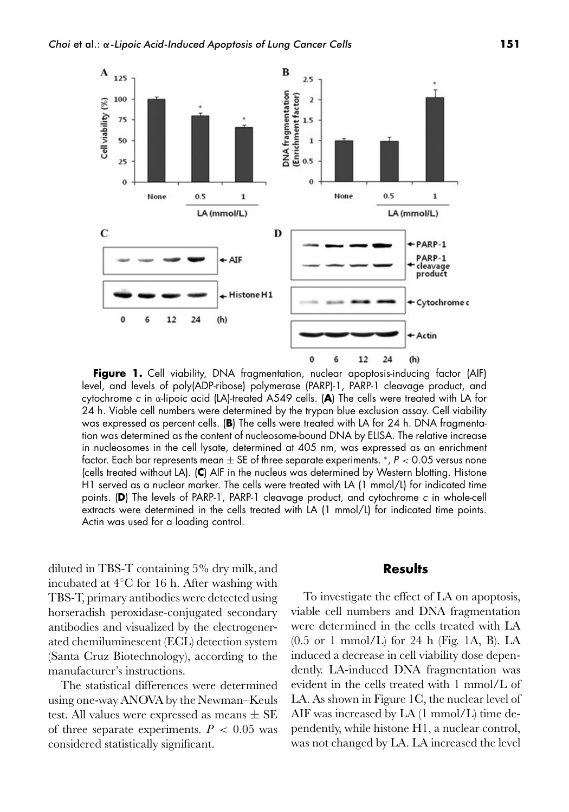

Figure 1. Cell viability, DNA fragmentation, nuclear apoptosis-inducing factor (AIF) level, and levels of poly(ADP-ribose) polymerase (PARP)-1, PARP-1 cleavage product, and cytochrome <sup>c</sup> in α-lipoic acid (LA)-treated A549 cells. (**A**) The cells were treated with LA for 24 h. Viable cell numbers were determined by the trypan blue exclusion assay. Cell viability was expressed as percent cells. (**B**) The cells were treated with LA for 24 h. DNA fragmentation was determined as the content of nucleosome-bound DNA by ELISA. The relative increase in nucleosomes in the cell lysate, determined at 405 nm, was expressed as an enrichment factor. Each bar represents mean  $\pm$  SE of three separate experiments.  $*$ ,  $P < 0.05$  versus none (cells treated without LA). (**C**) AIF in the nucleus was determined by Western blotting. Histone H1 served as a nuclear marker. The cells were treated with LA (1 mmol/L) for indicated time points. (**D**) The levels of PARP-1, PARP-1 cleavage product, and cytochrome <sup>c</sup> in whole-cell extracts were determined in the cells treated with LA (1 mmol/L) for indicated time points. Actin was used for a loading control.

diluted in TBS-T containing 5% dry milk, and incubated at 4◦C for 16 h. After washing with TBS-T, primary antibodies were detected using horseradish peroxidase-conjugated secondary antibodies and visualized by the electrogenerated chemiluminescent (ECL) detection system (Santa Cruz Biotechnology), according to the manufacturer's instructions.

The statistical differences were determined using one-way ANOVA by the Newman–Keuls test. All values were expressed as means  $\pm$  SE of three separate experiments.  $P < 0.05$  was considered statistically significant.

#### **Results**

To investigate the effect of LA on apoptosis, viable cell numbers and DNA fragmentation were determined in the cells treated with LA (0.5 or 1 mmol/L) for 24 h (Fig. 1A, B). LA induced a decrease in cell viability dose dependently. LA-induced DNA fragmentation was evident in the cells treated with 1 mmol/L of LA. As shown in Figure 1C, the nuclear level of AIF was increased by LA (1 mmol/L) time dependently, while histone H1, a nuclear control, was not changed by LA. LA increased the level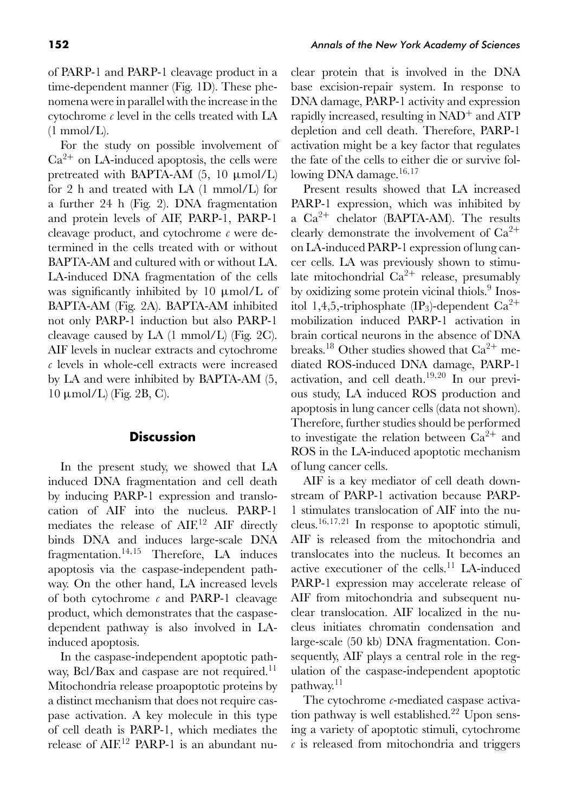of PARP-1 and PARP-1 cleavage product in a time-dependent manner (Fig. 1D). These phenomena were in parallel with the increase in the cytochrome *c* level in the cells treated with LA  $(1 \text{ mmol/L}).$ 

For the study on possible involvement of  $Ca<sup>2+</sup>$  on LA-induced apoptosis, the cells were pretreated with BAPTA-AM  $(5, 10 \mu \text{mol/L})$ for 2 h and treated with LA (1 mmol/L) for a further 24 h (Fig. 2). DNA fragmentation and protein levels of AIF, PARP-1, PARP-1 cleavage product, and cytochrome *c* were determined in the cells treated with or without BAPTA-AM and cultured with or without LA. LA-induced DNA fragmentation of the cells was significantly inhibited by 10 μmol/L of BAPTA-AM (Fig. 2A). BAPTA-AM inhibited not only PARP-1 induction but also PARP-1 cleavage caused by LA (1 mmol/L) (Fig. 2C). AIF levels in nuclear extracts and cytochrome *c* levels in whole-cell extracts were increased by LA and were inhibited by BAPTA-AM (5, 10 μmol/L) (Fig. 2B, C).

# **Discussion**

In the present study, we showed that LA induced DNA fragmentation and cell death by inducing PARP-1 expression and translocation of AIF into the nucleus. PARP-1 mediates the release of AIF.<sup>12</sup> AIF directly binds DNA and induces large-scale DNA fragmentation.14*,*<sup>15</sup> Therefore, LA induces apoptosis via the caspase-independent pathway. On the other hand, LA increased levels of both cytochrome *c* and PARP-1 cleavage product, which demonstrates that the caspasedependent pathway is also involved in LAinduced apoptosis.

In the caspase-independent apoptotic pathway, Bcl/Bax and caspase are not required.<sup>11</sup> Mitochondria release proapoptotic proteins by a distinct mechanism that does not require caspase activation. A key molecule in this type of cell death is PARP-1, which mediates the release of AIF.<sup>12</sup> PARP-1 is an abundant nuclear protein that is involved in the DNA base excision-repair system. In response to DNA damage, PARP-1 activity and expression rapidly increased, resulting in NAD<sup>+</sup> and ATP depletion and cell death. Therefore, PARP-1 activation might be a key factor that regulates the fate of the cells to either die or survive following DNA damage.16*,*<sup>17</sup>

Present results showed that LA increased PARP-1 expression, which was inhibited by a  $Ca^{2+}$  chelator (BAPTA-AM). The results clearly demonstrate the involvement of  $Ca^{2+}$ on LA-induced PARP-1 expression of lung cancer cells. LA was previously shown to stimulate mitochondrial  $Ca^{2+}$  release, presumably by oxidizing some protein vicinal thiols.<sup>9</sup> Inositol 1,4,5,-triphosphate  $(\text{IP}_3)$ -dependent  $\text{Ca}^{2+}$ mobilization induced PARP-1 activation in brain cortical neurons in the absence of DNA breaks.<sup>18</sup> Other studies showed that  $Ca^{2+}$  mediated ROS-induced DNA damage, PARP-1 activation, and cell death.<sup>19</sup>*,*<sup>20</sup> In our previous study, LA induced ROS production and apoptosis in lung cancer cells (data not shown). Therefore, further studies should be performed to investigate the relation between  $Ca^{2+}$  and ROS in the LA-induced apoptotic mechanism of lung cancer cells.

AIF is a key mediator of cell death downstream of PARP-1 activation because PARP-1 stimulates translocation of AIF into the nucleus.16*,*17*,*<sup>21</sup> In response to apoptotic stimuli, AIF is released from the mitochondria and translocates into the nucleus. It becomes an active executioner of the cells.<sup>11</sup> LA-induced PARP-1 expression may accelerate release of AIF from mitochondria and subsequent nuclear translocation. AIF localized in the nucleus initiates chromatin condensation and large-scale (50 kb) DNA fragmentation. Consequently, AIF plays a central role in the regulation of the caspase-independent apoptotic pathway.<sup>11</sup>

The cytochrome *c*-mediated caspase activation pathway is well established.<sup>22</sup> Upon sensing a variety of apoptotic stimuli, cytochrome *c* is released from mitochondria and triggers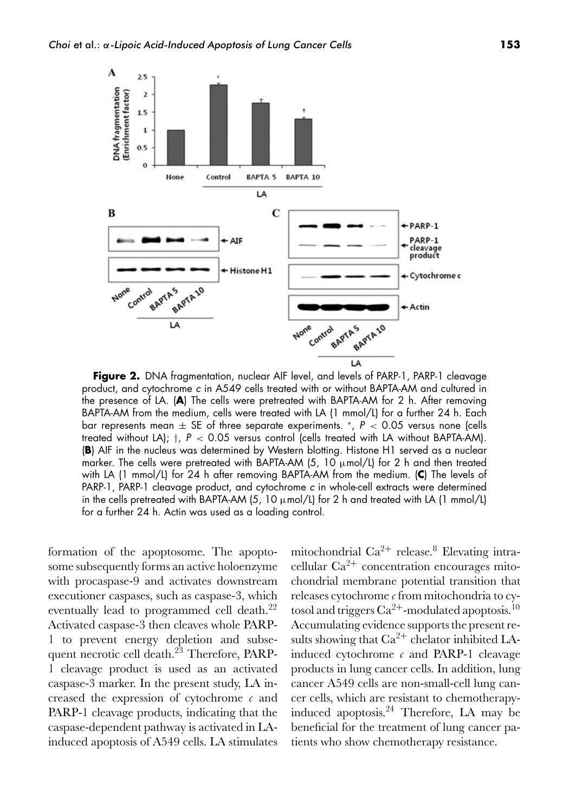

**Figure 2.** DNA fragmentation, nuclear AIF level, and levels of PARP-1, PARP-1 cleavage product, and cytochrome <sup>c</sup> in A549 cells treated with or without BAPTA-AM and cultured in the presence of LA. (**A**) The cells were pretreated with BAPTA-AM for 2 h. After removing BAPTA-AM from the medium, cells were treated with LA (1 mmol/L) for a further 24 h. Each bar represents mean  $\pm$  SE of three separate experiments.  $*$ ,  $P$  < 0.05 versus none (cells treated without LA);  $\dagger$ ,  $P < 0.05$  versus control (cells treated with LA without BAPTA-AM). (**B**) AIF in the nucleus was determined by Western blotting. Histone H1 served as a nuclear marker. The cells were pretreated with BAPTA-AM  $(5, 10 \mu \text{mol/L})$  for 2 h and then treated with LA (1 mmol/L) for 24 h after removing BAPTA-AM from the medium. (**C**) The levels of PARP-1, PARP-1 cleavage product, and cytochrome <sup>c</sup> in whole-cell extracts were determined in the cells pretreated with BAPTA-AM (5, 10  $\mu$ mol/L) for 2 h and treated with LA (1 mmol/L) for a further 24 h. Actin was used as a loading control.

formation of the apoptosome. The apoptosome subsequently forms an active holoenzyme with procaspase-9 and activates downstream executioner caspases, such as caspase-3, which eventually lead to programmed cell death.<sup>22</sup> Activated caspase-3 then cleaves whole PARP-1 to prevent energy depletion and subsequent necrotic cell death.<sup>23</sup> Therefore, PARP-1 cleavage product is used as an activated caspase-3 marker. In the present study, LA increased the expression of cytochrome *c* and PARP-1 cleavage products, indicating that the caspase-dependent pathway is activated in LAinduced apoptosis of A549 cells. LA stimulates

mitochondrial  $Ca^{2+}$  release.<sup>8</sup> Elevating intracellular  $Ca^{2+}$  concentration encourages mitochondrial membrane potential transition that releases cytochrome *c* from mitochondria to cytosol and triggers  $Ca^{2+}$ -modulated apoptosis.<sup>10</sup> Accumulating evidence supports the present results showing that  $Ca^{2+}$  chelator inhibited LAinduced cytochrome *c* and PARP-1 cleavage products in lung cancer cells. In addition, lung cancer A549 cells are non-small-cell lung cancer cells, which are resistant to chemotherapyinduced apoptosis. $24$  Therefore, LA may be beneficial for the treatment of lung cancer patients who show chemotherapy resistance.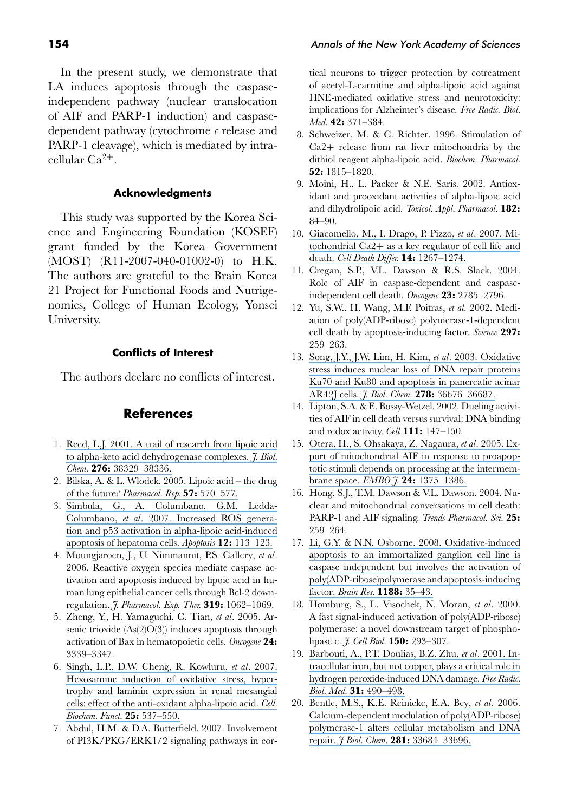In the present study, we demonstrate that LA induces apoptosis through the caspaseindependent pathway (nuclear translocation of AIF and PARP-1 induction) and caspasedependent pathway (cytochrome *c* release and PARP-1 cleavage), which is mediated by intracellular  $Ca^{2+}$ .

#### **Acknowledgments**

This study was supported by the Korea Science and Engineering Foundation (KOSEF) grant funded by the Korea Government (MOST) (R11-2007-040-01002-0) to H.K. The authors are grateful to the Brain Korea 21 Project for Functional Foods and Nutrigenomics, College of Human Ecology, Yonsei University.

#### **Conflicts of Interest**

The authors declare no conflicts of interest.

# **References**

- 1. [Reed, L.J. 2001. A trail of research from lipoic acid](https://www.researchgate.net/publication/11865905_A_Trail_of_Research_from_Lipoic_Acid_to_-Keto_Acid_Dehydrogenase_Complexes?el=1_x_8&enrichId=rgreq-92d1d9bdc418b867fcf446a6eacfff28-XXX&enrichSource=Y292ZXJQYWdlOzI2NzgyNTE0O0FTOjk5NzYzNjg0OTA0OTY3QDE0MDA3OTY5MjUzODM=) [to alpha-keto acid dehydrogenase complexes.](https://www.researchgate.net/publication/11865905_A_Trail_of_Research_from_Lipoic_Acid_to_-Keto_Acid_Dehydrogenase_Complexes?el=1_x_8&enrichId=rgreq-92d1d9bdc418b867fcf446a6eacfff28-XXX&enrichSource=Y292ZXJQYWdlOzI2NzgyNTE0O0FTOjk5NzYzNjg0OTA0OTY3QDE0MDA3OTY5MjUzODM=) *J. Biol. Chem.* **276:** [38329–38336.](https://www.researchgate.net/publication/11865905_A_Trail_of_Research_from_Lipoic_Acid_to_-Keto_Acid_Dehydrogenase_Complexes?el=1_x_8&enrichId=rgreq-92d1d9bdc418b867fcf446a6eacfff28-XXX&enrichSource=Y292ZXJQYWdlOzI2NzgyNTE0O0FTOjk5NzYzNjg0OTA0OTY3QDE0MDA3OTY5MjUzODM=)
- 2. [Bilska, A. & L. Wlodek. 2005. Lipoic acid the drug](https://www.researchgate.net/publication/7538056_Lipoic_acid_-_The_drug_of_the_future?el=1_x_8&enrichId=rgreq-92d1d9bdc418b867fcf446a6eacfff28-XXX&enrichSource=Y292ZXJQYWdlOzI2NzgyNTE0O0FTOjk5NzYzNjg0OTA0OTY3QDE0MDA3OTY5MjUzODM=) of the future? *[Pharmacol. Rep.](https://www.researchgate.net/publication/7538056_Lipoic_acid_-_The_drug_of_the_future?el=1_x_8&enrichId=rgreq-92d1d9bdc418b867fcf446a6eacfff28-XXX&enrichSource=Y292ZXJQYWdlOzI2NzgyNTE0O0FTOjk5NzYzNjg0OTA0OTY3QDE0MDA3OTY5MjUzODM=)* **57:** 570–577.
- 3. [Simbula, G., A. Columbano, G.M. Ledda-](https://www.researchgate.net/publication/246931904_Increased_ROS_generation_and_p53_activation_in_alpha-lipoic_acid-induced_apoptosis_of_hepatoma_cells_Apoptosis?el=1_x_8&enrichId=rgreq-92d1d9bdc418b867fcf446a6eacfff28-XXX&enrichSource=Y292ZXJQYWdlOzI2NzgyNTE0O0FTOjk5NzYzNjg0OTA0OTY3QDE0MDA3OTY5MjUzODM=)Columbano, *et al*[. 2007. Increased ROS genera](https://www.researchgate.net/publication/246931904_Increased_ROS_generation_and_p53_activation_in_alpha-lipoic_acid-induced_apoptosis_of_hepatoma_cells_Apoptosis?el=1_x_8&enrichId=rgreq-92d1d9bdc418b867fcf446a6eacfff28-XXX&enrichSource=Y292ZXJQYWdlOzI2NzgyNTE0O0FTOjk5NzYzNjg0OTA0OTY3QDE0MDA3OTY5MjUzODM=)[tion and p53 activation in alpha-lipoic acid-induced](https://www.researchgate.net/publication/246931904_Increased_ROS_generation_and_p53_activation_in_alpha-lipoic_acid-induced_apoptosis_of_hepatoma_cells_Apoptosis?el=1_x_8&enrichId=rgreq-92d1d9bdc418b867fcf446a6eacfff28-XXX&enrichSource=Y292ZXJQYWdlOzI2NzgyNTE0O0FTOjk5NzYzNjg0OTA0OTY3QDE0MDA3OTY5MjUzODM=) [apoptosis of hepatoma cells.](https://www.researchgate.net/publication/246931904_Increased_ROS_generation_and_p53_activation_in_alpha-lipoic_acid-induced_apoptosis_of_hepatoma_cells_Apoptosis?el=1_x_8&enrichId=rgreq-92d1d9bdc418b867fcf446a6eacfff28-XXX&enrichSource=Y292ZXJQYWdlOzI2NzgyNTE0O0FTOjk5NzYzNjg0OTA0OTY3QDE0MDA3OTY5MjUzODM=) *Apoptosis* **12:** 113–123.
- 4. Moungjaroen, J., U. Nimmannit, P.S. Callery, *et al*. 2006. Reactive oxygen species mediate caspase activation and apoptosis induced by lipoic acid in human lung epithelial cancer cells through Bcl-2 downregulation. *J. Pharmacol. Exp. Ther.* **319:** 1062–1069.
- 5. Zheng, Y., H. Yamaguchi, C. Tian, *et al*. 2005. Arsenic trioxide  $(As(2)O(3))$  induces apoptosis through activation of Bax in hematopoietic cells. *Oncogene* **24:** 3339–3347.
- 6. [Singh, L.P., D.W. Cheng, R. Kowluru,](https://www.researchgate.net/publication/6895447_Hexosamine_induction_of_oxidative_stress_hypertrophy_and_laminin_expression_in_renal_mesangial_cells_Effect_of_the_anti-oxidant_a-lipoic_acid?el=1_x_8&enrichId=rgreq-92d1d9bdc418b867fcf446a6eacfff28-XXX&enrichSource=Y292ZXJQYWdlOzI2NzgyNTE0O0FTOjk5NzYzNjg0OTA0OTY3QDE0MDA3OTY5MjUzODM=) *et al*. 2007. [Hexosamine induction of oxidative stress, hyper](https://www.researchgate.net/publication/6895447_Hexosamine_induction_of_oxidative_stress_hypertrophy_and_laminin_expression_in_renal_mesangial_cells_Effect_of_the_anti-oxidant_a-lipoic_acid?el=1_x_8&enrichId=rgreq-92d1d9bdc418b867fcf446a6eacfff28-XXX&enrichSource=Y292ZXJQYWdlOzI2NzgyNTE0O0FTOjk5NzYzNjg0OTA0OTY3QDE0MDA3OTY5MjUzODM=)[trophy and laminin expression in renal mesangial](https://www.researchgate.net/publication/6895447_Hexosamine_induction_of_oxidative_stress_hypertrophy_and_laminin_expression_in_renal_mesangial_cells_Effect_of_the_anti-oxidant_a-lipoic_acid?el=1_x_8&enrichId=rgreq-92d1d9bdc418b867fcf446a6eacfff28-XXX&enrichSource=Y292ZXJQYWdlOzI2NzgyNTE0O0FTOjk5NzYzNjg0OTA0OTY3QDE0MDA3OTY5MjUzODM=) [cells: effect of the anti-oxidant alpha-lipoic acid.](https://www.researchgate.net/publication/6895447_Hexosamine_induction_of_oxidative_stress_hypertrophy_and_laminin_expression_in_renal_mesangial_cells_Effect_of_the_anti-oxidant_a-lipoic_acid?el=1_x_8&enrichId=rgreq-92d1d9bdc418b867fcf446a6eacfff28-XXX&enrichSource=Y292ZXJQYWdlOzI2NzgyNTE0O0FTOjk5NzYzNjg0OTA0OTY3QDE0MDA3OTY5MjUzODM=) *Cell. [Biochem. Funct.](https://www.researchgate.net/publication/6895447_Hexosamine_induction_of_oxidative_stress_hypertrophy_and_laminin_expression_in_renal_mesangial_cells_Effect_of_the_anti-oxidant_a-lipoic_acid?el=1_x_8&enrichId=rgreq-92d1d9bdc418b867fcf446a6eacfff28-XXX&enrichSource=Y292ZXJQYWdlOzI2NzgyNTE0O0FTOjk5NzYzNjg0OTA0OTY3QDE0MDA3OTY5MjUzODM=)* **25:** 537–550.
- 7. Abdul, H.M. & D.A. Butterfield. 2007. Involvement of PI3K/PKG/ERK1/2 signaling pathways in cor-

tical neurons to trigger protection by cotreatment of acetyl-L-carnitine and alpha-lipoic acid against HNE-mediated oxidative stress and neurotoxicity: implications for Alzheimer's disease. *Free Radic. Biol. Med.* **42:** 371–384.

- 8. Schweizer, M. & C. Richter. 1996. Stimulation of Ca2+ release from rat liver mitochondria by the dithiol reagent alpha-lipoic acid. *Biochem. Pharmacol.* **52:** 1815–1820.
- 9. Moini, H., L. Packer & N.E. Saris. 2002. Antioxidant and prooxidant activities of alpha-lipoic acid and dihydrolipoic acid. *Toxicol. Appl. Pharmacol.* **182:** 84–90.
- 10. [Giacomello, M., I. Drago, P. Pizzo,](https://www.researchgate.net/publication/6397931_Mitochondrial_Ca2_as_a_key_regulator_of_cell_life_and_death_Cell_Death_Differ?el=1_x_8&enrichId=rgreq-92d1d9bdc418b867fcf446a6eacfff28-XXX&enrichSource=Y292ZXJQYWdlOzI2NzgyNTE0O0FTOjk5NzYzNjg0OTA0OTY3QDE0MDA3OTY5MjUzODM=) *et al*. 2007. Mitochondrial Ca2+ [as a key regulator of cell life and](https://www.researchgate.net/publication/6397931_Mitochondrial_Ca2_as_a_key_regulator_of_cell_life_and_death_Cell_Death_Differ?el=1_x_8&enrichId=rgreq-92d1d9bdc418b867fcf446a6eacfff28-XXX&enrichSource=Y292ZXJQYWdlOzI2NzgyNTE0O0FTOjk5NzYzNjg0OTA0OTY3QDE0MDA3OTY5MjUzODM=) death. *[Cell Death Differ.](https://www.researchgate.net/publication/6397931_Mitochondrial_Ca2_as_a_key_regulator_of_cell_life_and_death_Cell_Death_Differ?el=1_x_8&enrichId=rgreq-92d1d9bdc418b867fcf446a6eacfff28-XXX&enrichSource=Y292ZXJQYWdlOzI2NzgyNTE0O0FTOjk5NzYzNjg0OTA0OTY3QDE0MDA3OTY5MjUzODM=)* **14:** 1267–1274.
- 11. Cregan, S.P., V.L. Dawson & R.S. Slack. 2004. Role of AIF in caspase-dependent and caspaseindependent cell death. *Oncogene* **23:** 2785–2796.
- 12. Yu, S.W., H. Wang, M.F. Poitras, *et al.* 2002. Mediation of poly(ADP-ribose) polymerase-1-dependent cell death by apoptosis-inducing factor. *Science* **297:** 259–263.
- 13. [Song, J.Y., J.W. Lim, H. Kim,](https://www.researchgate.net/publication/10657349_Oxidative_Stress_Induces_Nuclear_Loss_of_DNA_Repair_Proteins_Ku70_and_Ku80_and_Apoptosis_in_Pancreatic_Acinar_AR42J_Cells?el=1_x_8&enrichId=rgreq-92d1d9bdc418b867fcf446a6eacfff28-XXX&enrichSource=Y292ZXJQYWdlOzI2NzgyNTE0O0FTOjk5NzYzNjg0OTA0OTY3QDE0MDA3OTY5MjUzODM=) *et al*. 2003. Oxidative [stress induces nuclear loss of DNA repair proteins](https://www.researchgate.net/publication/10657349_Oxidative_Stress_Induces_Nuclear_Loss_of_DNA_Repair_Proteins_Ku70_and_Ku80_and_Apoptosis_in_Pancreatic_Acinar_AR42J_Cells?el=1_x_8&enrichId=rgreq-92d1d9bdc418b867fcf446a6eacfff28-XXX&enrichSource=Y292ZXJQYWdlOzI2NzgyNTE0O0FTOjk5NzYzNjg0OTA0OTY3QDE0MDA3OTY5MjUzODM=) [Ku70 and Ku80 and apoptosis in pancreatic acinar](https://www.researchgate.net/publication/10657349_Oxidative_Stress_Induces_Nuclear_Loss_of_DNA_Repair_Proteins_Ku70_and_Ku80_and_Apoptosis_in_Pancreatic_Acinar_AR42J_Cells?el=1_x_8&enrichId=rgreq-92d1d9bdc418b867fcf446a6eacfff28-XXX&enrichSource=Y292ZXJQYWdlOzI2NzgyNTE0O0FTOjk5NzYzNjg0OTA0OTY3QDE0MDA3OTY5MjUzODM=) AR42J cells. *J. Biol. Chem.* **278:** [36676–36687.](https://www.researchgate.net/publication/10657349_Oxidative_Stress_Induces_Nuclear_Loss_of_DNA_Repair_Proteins_Ku70_and_Ku80_and_Apoptosis_in_Pancreatic_Acinar_AR42J_Cells?el=1_x_8&enrichId=rgreq-92d1d9bdc418b867fcf446a6eacfff28-XXX&enrichSource=Y292ZXJQYWdlOzI2NzgyNTE0O0FTOjk5NzYzNjg0OTA0OTY3QDE0MDA3OTY5MjUzODM=)
- 14. Lipton, S.A. & E. Bossy-Wetzel. 2002. Dueling activities of AIF in cell death versus survival: DNA binding and redox activity. *Cell* **111:** 147–150.
- 15. [Otera, H., S. Ohsakaya, Z. Nagaura,](https://www.researchgate.net/publication/7958932_Otera_H_Ohsakaya_S_Nagaura_Z_Ishihara_N_Mihara_KExport_of_mitochondrial_AIF_in_response_to_proapoptotic_stimuli_depends_on_processing_at_the_intermembrane_space_EMBO_J_241375-1386?el=1_x_8&enrichId=rgreq-92d1d9bdc418b867fcf446a6eacfff28-XXX&enrichSource=Y292ZXJQYWdlOzI2NzgyNTE0O0FTOjk5NzYzNjg0OTA0OTY3QDE0MDA3OTY5MjUzODM=) *et al*. 2005. Ex[port of mitochondrial AIF in response to proapop](https://www.researchgate.net/publication/7958932_Otera_H_Ohsakaya_S_Nagaura_Z_Ishihara_N_Mihara_KExport_of_mitochondrial_AIF_in_response_to_proapoptotic_stimuli_depends_on_processing_at_the_intermembrane_space_EMBO_J_241375-1386?el=1_x_8&enrichId=rgreq-92d1d9bdc418b867fcf446a6eacfff28-XXX&enrichSource=Y292ZXJQYWdlOzI2NzgyNTE0O0FTOjk5NzYzNjg0OTA0OTY3QDE0MDA3OTY5MjUzODM=)[totic stimuli depends on processing at the intermem](https://www.researchgate.net/publication/7958932_Otera_H_Ohsakaya_S_Nagaura_Z_Ishihara_N_Mihara_KExport_of_mitochondrial_AIF_in_response_to_proapoptotic_stimuli_depends_on_processing_at_the_intermembrane_space_EMBO_J_241375-1386?el=1_x_8&enrichId=rgreq-92d1d9bdc418b867fcf446a6eacfff28-XXX&enrichSource=Y292ZXJQYWdlOzI2NzgyNTE0O0FTOjk5NzYzNjg0OTA0OTY3QDE0MDA3OTY5MjUzODM=)[brane space.](https://www.researchgate.net/publication/7958932_Otera_H_Ohsakaya_S_Nagaura_Z_Ishihara_N_Mihara_KExport_of_mitochondrial_AIF_in_response_to_proapoptotic_stimuli_depends_on_processing_at_the_intermembrane_space_EMBO_J_241375-1386?el=1_x_8&enrichId=rgreq-92d1d9bdc418b867fcf446a6eacfff28-XXX&enrichSource=Y292ZXJQYWdlOzI2NzgyNTE0O0FTOjk5NzYzNjg0OTA0OTY3QDE0MDA3OTY5MjUzODM=) *EMBO J.* **24:** 1375–1386.
- 16. Hong, S.J., T.M. Dawson & V.L. Dawson. 2004. Nuclear and mitochondrial conversations in cell death: PARP-1 and AIF signaling. *Trends Pharmacol. Sci.* **25:** 259–264.
- 17. [Li, G.Y. & N.N. Osborne. 2008. Oxidative-induced](https://www.researchgate.net/publication/5794092_Oxidative-induced_apoptosis_to_an_immortalized_ganglion_cell_line_is_caspase_independent_but_involves_the_activation_of_polyADP-ribosepolymerase_and_apoptosis-inducing_factor?el=1_x_8&enrichId=rgreq-92d1d9bdc418b867fcf446a6eacfff28-XXX&enrichSource=Y292ZXJQYWdlOzI2NzgyNTE0O0FTOjk5NzYzNjg0OTA0OTY3QDE0MDA3OTY5MjUzODM=) [apoptosis to an immortalized ganglion cell line is](https://www.researchgate.net/publication/5794092_Oxidative-induced_apoptosis_to_an_immortalized_ganglion_cell_line_is_caspase_independent_but_involves_the_activation_of_polyADP-ribosepolymerase_and_apoptosis-inducing_factor?el=1_x_8&enrichId=rgreq-92d1d9bdc418b867fcf446a6eacfff28-XXX&enrichSource=Y292ZXJQYWdlOzI2NzgyNTE0O0FTOjk5NzYzNjg0OTA0OTY3QDE0MDA3OTY5MjUzODM=) [caspase independent but involves the activation of](https://www.researchgate.net/publication/5794092_Oxidative-induced_apoptosis_to_an_immortalized_ganglion_cell_line_is_caspase_independent_but_involves_the_activation_of_polyADP-ribosepolymerase_and_apoptosis-inducing_factor?el=1_x_8&enrichId=rgreq-92d1d9bdc418b867fcf446a6eacfff28-XXX&enrichSource=Y292ZXJQYWdlOzI2NzgyNTE0O0FTOjk5NzYzNjg0OTA0OTY3QDE0MDA3OTY5MjUzODM=) [poly\(ADP-ribose\)polymerase and apoptosis-inducing](https://www.researchgate.net/publication/5794092_Oxidative-induced_apoptosis_to_an_immortalized_ganglion_cell_line_is_caspase_independent_but_involves_the_activation_of_polyADP-ribosepolymerase_and_apoptosis-inducing_factor?el=1_x_8&enrichId=rgreq-92d1d9bdc418b867fcf446a6eacfff28-XXX&enrichSource=Y292ZXJQYWdlOzI2NzgyNTE0O0FTOjk5NzYzNjg0OTA0OTY3QDE0MDA3OTY5MjUzODM=) factor. *[Brain Res.](https://www.researchgate.net/publication/5794092_Oxidative-induced_apoptosis_to_an_immortalized_ganglion_cell_line_is_caspase_independent_but_involves_the_activation_of_polyADP-ribosepolymerase_and_apoptosis-inducing_factor?el=1_x_8&enrichId=rgreq-92d1d9bdc418b867fcf446a6eacfff28-XXX&enrichSource=Y292ZXJQYWdlOzI2NzgyNTE0O0FTOjk5NzYzNjg0OTA0OTY3QDE0MDA3OTY5MjUzODM=)* **1188:** 35–43.
- 18. Homburg, S., L. Visochek, N. Moran, *et al*. 2000. A fast signal-induced activation of poly(ADP-ribose) polymerase: a novel downstream target of phospholipase c. *J. Cell Biol.* **150:** 293–307.
- 19. [Barbouti, A., P.T. Doulias, B.Z. Zhu,](https://www.researchgate.net/publication/11847107_Intracellular_iron_but_not_copper_plays_a_critical_role_in_hydrogen_peroxide-induced_DNA_Damage?el=1_x_8&enrichId=rgreq-92d1d9bdc418b867fcf446a6eacfff28-XXX&enrichSource=Y292ZXJQYWdlOzI2NzgyNTE0O0FTOjk5NzYzNjg0OTA0OTY3QDE0MDA3OTY5MjUzODM=) *et al*. 2001. In[tracellular iron, but not copper, plays a critical role in](https://www.researchgate.net/publication/11847107_Intracellular_iron_but_not_copper_plays_a_critical_role_in_hydrogen_peroxide-induced_DNA_Damage?el=1_x_8&enrichId=rgreq-92d1d9bdc418b867fcf446a6eacfff28-XXX&enrichSource=Y292ZXJQYWdlOzI2NzgyNTE0O0FTOjk5NzYzNjg0OTA0OTY3QDE0MDA3OTY5MjUzODM=) [hydrogen peroxide-induced DNA damage.](https://www.researchgate.net/publication/11847107_Intracellular_iron_but_not_copper_plays_a_critical_role_in_hydrogen_peroxide-induced_DNA_Damage?el=1_x_8&enrichId=rgreq-92d1d9bdc418b867fcf446a6eacfff28-XXX&enrichSource=Y292ZXJQYWdlOzI2NzgyNTE0O0FTOjk5NzYzNjg0OTA0OTY3QDE0MDA3OTY5MjUzODM=) *Free Radic. [Biol. Med.](https://www.researchgate.net/publication/11847107_Intracellular_iron_but_not_copper_plays_a_critical_role_in_hydrogen_peroxide-induced_DNA_Damage?el=1_x_8&enrichId=rgreq-92d1d9bdc418b867fcf446a6eacfff28-XXX&enrichSource=Y292ZXJQYWdlOzI2NzgyNTE0O0FTOjk5NzYzNjg0OTA0OTY3QDE0MDA3OTY5MjUzODM=)* **31:** 490–498.
- 20. [Bentle, M.S., K.E. Reinicke, E.A. Bey,](https://www.researchgate.net/publication/6866945_Calcium-dependent_Modulation_of_PolyADP-ribose_Polymerase-1_Alters_Cellular_Metabolism_and_DNA_Repair?el=1_x_8&enrichId=rgreq-92d1d9bdc418b867fcf446a6eacfff28-XXX&enrichSource=Y292ZXJQYWdlOzI2NzgyNTE0O0FTOjk5NzYzNjg0OTA0OTY3QDE0MDA3OTY5MjUzODM=) *et al*. 2006. [Calcium-dependent modulation of poly\(ADP-ribose\)](https://www.researchgate.net/publication/6866945_Calcium-dependent_Modulation_of_PolyADP-ribose_Polymerase-1_Alters_Cellular_Metabolism_and_DNA_Repair?el=1_x_8&enrichId=rgreq-92d1d9bdc418b867fcf446a6eacfff28-XXX&enrichSource=Y292ZXJQYWdlOzI2NzgyNTE0O0FTOjk5NzYzNjg0OTA0OTY3QDE0MDA3OTY5MjUzODM=) [polymerase-1 alters cellular metabolism and DNA](https://www.researchgate.net/publication/6866945_Calcium-dependent_Modulation_of_PolyADP-ribose_Polymerase-1_Alters_Cellular_Metabolism_and_DNA_Repair?el=1_x_8&enrichId=rgreq-92d1d9bdc418b867fcf446a6eacfff28-XXX&enrichSource=Y292ZXJQYWdlOzI2NzgyNTE0O0FTOjk5NzYzNjg0OTA0OTY3QDE0MDA3OTY5MjUzODM=) repair. *J Biol. Chem.* **281:** [33684–33696.](https://www.researchgate.net/publication/6866945_Calcium-dependent_Modulation_of_PolyADP-ribose_Polymerase-1_Alters_Cellular_Metabolism_and_DNA_Repair?el=1_x_8&enrichId=rgreq-92d1d9bdc418b867fcf446a6eacfff28-XXX&enrichSource=Y292ZXJQYWdlOzI2NzgyNTE0O0FTOjk5NzYzNjg0OTA0OTY3QDE0MDA3OTY5MjUzODM=)